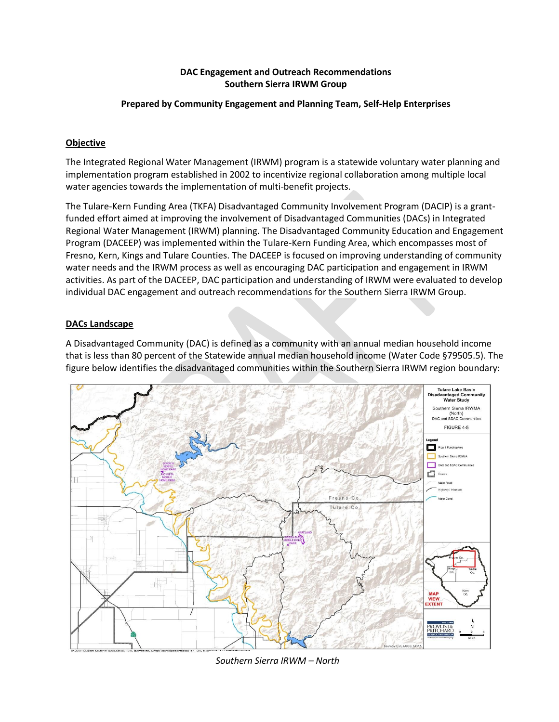## **DAC Engagement and Outreach Recommendations Southern Sierra IRWM Group**

#### **Prepared by Community Engagement and Planning Team, Self-Help Enterprises**

## **Objective**

The Integrated Regional Water Management (IRWM) program is a statewide voluntary water planning and implementation program established in 2002 to incentivize regional collaboration among multiple local water agencies towards the implementation of multi-benefit projects.

The Tulare-Kern Funding Area (TKFA) Disadvantaged Community Involvement Program (DACIP) is a grantfunded effort aimed at improving the involvement of Disadvantaged Communities (DACs) in Integrated Regional Water Management (IRWM) planning. The Disadvantaged Community Education and Engagement Program (DACEEP) was implemented within the Tulare-Kern Funding Area, which encompasses most of Fresno, Kern, Kings and Tulare Counties. The DACEEP is focused on improving understanding of community water needs and the IRWM process as well as encouraging DAC participation and engagement in IRWM activities. As part of the DACEEP, DAC participation and understanding of IRWM were evaluated to develop individual DAC engagement and outreach recommendations for the Southern Sierra IRWM Group.

## **DACs Landscape**

A Disadvantaged Community (DAC) is defined as a community with an annual median household income that is less than 80 percent of the Statewide annual median household income (Water Code §79505.5). The figure below identifies the disadvantaged communities within the Southern Sierra IRWM region boundary:



*Southern Sierra IRWM – North*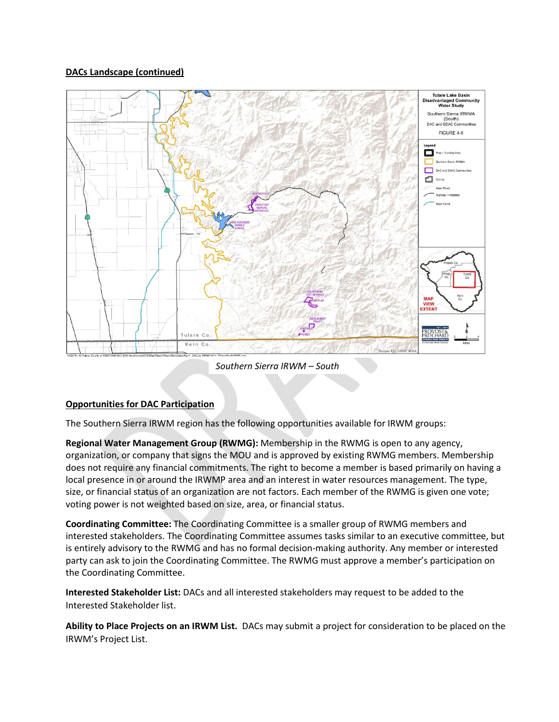# **DACs Landscape (continued)**



*Southern Sierra IRWM – South*

# **Opportunities for DAC Participation**

The Southern Sierra IRWM region has the following opportunities available for IRWM groups:

**Regional Water Management Group (RWMG):** Membership in the RWMG is open to any agency, organization, or company that signs the MOU and is approved by existing RWMG members. Membership does not require any financial commitments. The right to become a member is based primarily on having a local presence in or around the IRWMP area and an interest in water resources management. The type, size, or financial status of an organization are not factors. Each member of the RWMG is given one vote; voting power is not weighted based on size, area, or financial status.

**Coordinating Committee:** The Coordinating Committee is a smaller group of RWMG members and interested stakeholders. The Coordinating Committee assumes tasks similar to an executive committee, but is entirely advisory to the RWMG and has no formal decision-making authority. Any member or interested party can ask to join the Coordinating Committee. The RWMG must approve a member's participation on the Coordinating Committee.

**Interested Stakeholder List:** DACs and all interested stakeholders may request to be added to the Interested Stakeholder list.

**Ability to Place Projects on an IRWM List.** DACs may submit a project for consideration to be placed on the IRWM's Project List.